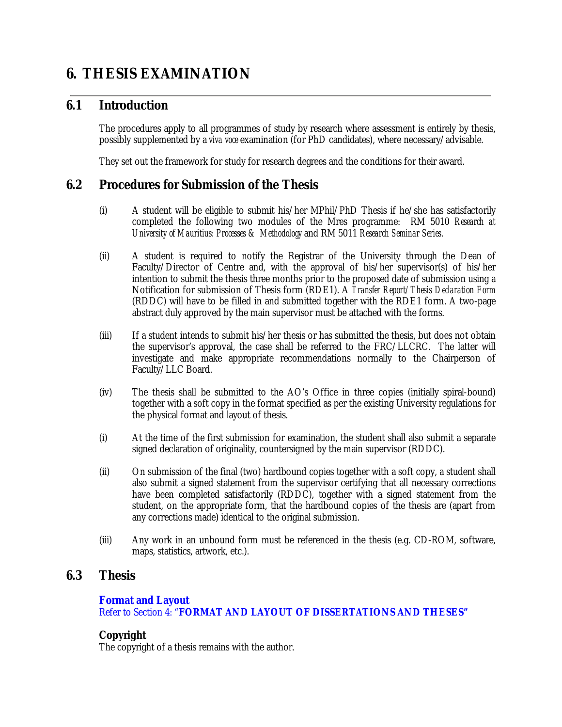# **6. THESIS EXAMINATION**

# **6.1 Introduction**

The procedures apply to all programmes of study by research where assessment is entirely by thesis, possibly supplemented by a *viva voce* examination (for PhD candidates), where necessary/advisable.

They set out the framework for study for research degrees and the conditions for their award.

### **6.2 Procedures for Submission of the Thesis**

- (i) A student will be eligible to submit his/her MPhil/PhD Thesis if he/she has satisfactorily completed the following two modules of the Mres programme: RM 5010 *Research at University of Mauritius: Processes & Methodology* and RM 5011 *Research Seminar Series*.
- (ii) A student is required to notify the Registrar of the University through the Dean of Faculty/Director of Centre and, with the approval of his/her supervisor(s) of his/her intention to submit the thesis three months prior to the proposed date of submission using a Notification for submission of Thesis form (RDE1). A *Transfer Report/Thesis Declaration Form* (RDDC) will have to be filled in and submitted together with the RDE1 form. A two-page abstract duly approved by the main supervisor must be attached with the forms.
- (iii) If a student intends to submit his/her thesis or has submitted the thesis, but does not obtain the supervisor's approval, the case shall be referred to the FRC/LLCRC. The latter will investigate and make appropriate recommendations normally to the Chairperson of Faculty/LLC Board.
- (iv) The thesis shall be submitted to the AO's Office in three copies (initially spiral-bound) together with a soft copy in the format specified as per the existing University regulations for the physical format and layout of thesis.
- (i) At the time of the first submission for examination, the student shall also submit a separate signed declaration of originality, countersigned by the main supervisor (RDDC).
- (ii) On submission of the final (two) hardbound copies together with a soft copy, a student shall also submit a signed statement from the supervisor certifying that all necessary corrections have been completed satisfactorily (RDDC), together with a signed statement from the student, on the appropriate form, that the hardbound copies of the thesis are (apart from any corrections made) identical to the original submission.
- (iii) Any work in an unbound form must be referenced in the thesis (e.g. CD-ROM, software, maps, statistics, artwork, etc.).

### **6.3 Thesis**

#### **Format and Layout**

Refer to Section 4: "**FORMAT AND LAYOUT OF DISSERTATIONS AND THESES"** 

#### **Copyright**

The copyright of a thesis remains with the author.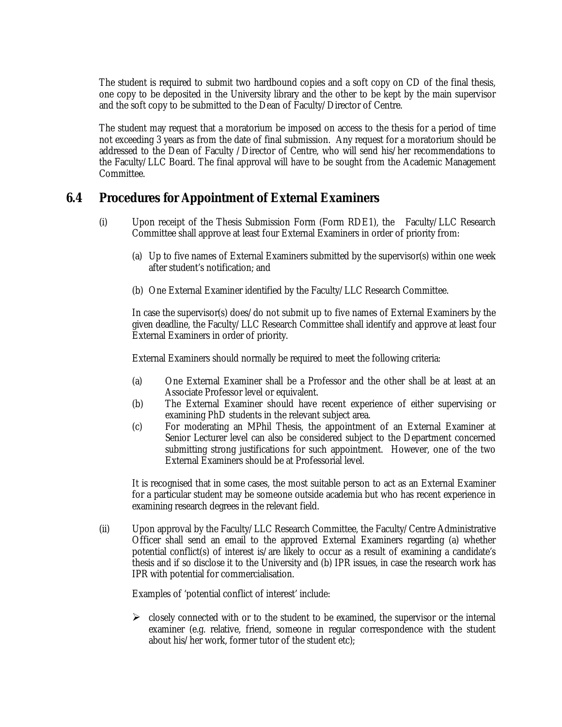The student is required to submit two hardbound copies and a soft copy on CD of the final thesis, one copy to be deposited in the University library and the other to be kept by the main supervisor and the soft copy to be submitted to the Dean of Faculty/Director of Centre.

The student may request that a moratorium be imposed on access to the thesis for a period of time not exceeding 3 years as from the date of final submission. Any request for a moratorium should be addressed to the Dean of Faculty /Director of Centre, who will send his/her recommendations to the Faculty/LLC Board. The final approval will have to be sought from the Academic Management Committee.

### **6.4 Procedures for Appointment of External Examiners**

- (i) Upon receipt of the Thesis Submission Form (Form RDE1), the Faculty/LLC Research Committee shall approve at least four External Examiners in order of priority from:
	- (a) Up to five names of External Examiners submitted by the supervisor(s) within one week after student's notification; and
	- (b) One External Examiner identified by the Faculty/LLC Research Committee.

In case the supervisor(s) does/do not submit up to five names of External Examiners by the given deadline, the Faculty/LLC Research Committee shall identify and approve at least four External Examiners in order of priority.

External Examiners should normally be required to meet the following criteria:

- (a) One External Examiner shall be a Professor and the other shall be at least at an Associate Professor level or equivalent.
- (b) The External Examiner should have recent experience of either supervising or examining PhD students in the relevant subject area.
- (c) For moderating an MPhil Thesis, the appointment of an External Examiner at Senior Lecturer level can also be considered subject to the Department concerned submitting strong justifications for such appointment. However, one of the two External Examiners should be at Professorial level.

It is recognised that in some cases, the most suitable person to act as an External Examiner for a particular student may be someone outside academia but who has recent experience in examining research degrees in the relevant field.

(ii) Upon approval by the Faculty/LLC Research Committee, the Faculty/Centre Administrative Officer shall send an email to the approved External Examiners regarding (a) whether potential conflict(s) of interest is/are likely to occur as a result of examining a candidate's thesis and if so disclose it to the University and (b) IPR issues, in case the research work has IPR with potential for commercialisation.

Examples of 'potential conflict of interest' include:

 $\triangleright$  closely connected with or to the student to be examined, the supervisor or the internal examiner (e.g. relative, friend, someone in regular correspondence with the student about his/her work, former tutor of the student etc);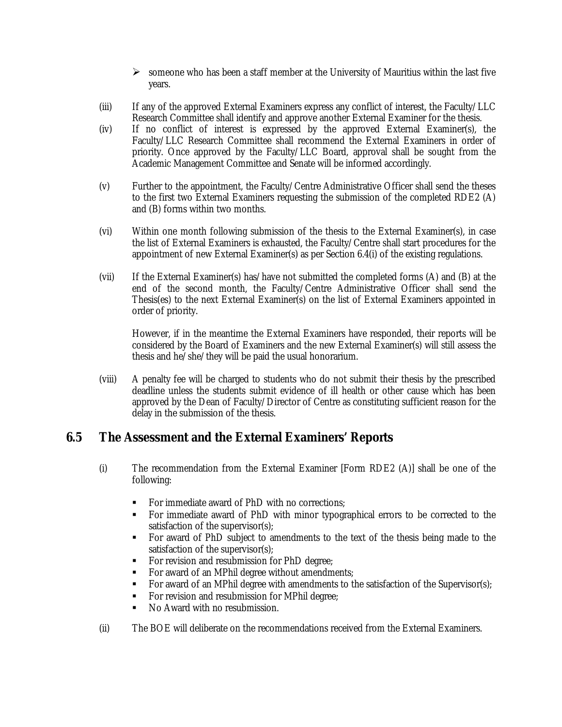- $\triangleright$  someone who has been a staff member at the University of Mauritius within the last five years.
- (iii) If any of the approved External Examiners express any conflict of interest, the Faculty/LLC Research Committee shall identify and approve another External Examiner for the thesis.
- (iv) If no conflict of interest is expressed by the approved External Examiner(s), the Faculty/LLC Research Committee shall recommend the External Examiners in order of priority. Once approved by the Faculty/LLC Board, approval shall be sought from the Academic Management Committee and Senate will be informed accordingly.
- (v) Further to the appointment, the Faculty/Centre Administrative Officer shall send the theses to the first two External Examiners requesting the submission of the completed RDE2 (A) and (B) forms within two months.
- (vi) Within one month following submission of the thesis to the External Examiner(s), in case the list of External Examiners is exhausted, the Faculty/Centre shall start procedures for the appointment of new External Examiner(s) as per Section 6.4(i) of the existing regulations.
- (vii) If the External Examiner(s) has/have not submitted the completed forms (A) and (B) at the end of the second month, the Faculty/Centre Administrative Officer shall send the Thesis(es) to the next External Examiner(s) on the list of External Examiners appointed in order of priority.

However, if in the meantime the External Examiners have responded, their reports will be considered by the Board of Examiners and the new External Examiner(s) will still assess the thesis and he/she/they will be paid the usual honorarium.

(viii) A penalty fee will be charged to students who do not submit their thesis by the prescribed deadline unless the students submit evidence of ill health or other cause which has been approved by the Dean of Faculty/Director of Centre as constituting sufficient reason for the delay in the submission of the thesis.

# **6.5 The Assessment and the External Examiners' Reports**

- (i) The recommendation from the External Examiner [Form RDE2 (A)] shall be one of the following:
	- For immediate award of PhD with no corrections;
	- For immediate award of PhD with minor typographical errors to be corrected to the satisfaction of the supervisor(s);
	- For award of PhD subject to amendments to the text of the thesis being made to the satisfaction of the supervisor(s);
	- For revision and resubmission for PhD degree;
	- For award of an MPhil degree without amendments;
	- For award of an MPhil degree with amendments to the satisfaction of the Supervisor(s);
	- For revision and resubmission for MPhil degree;
	- No Award with no resubmission.
- (ii) The BOE will deliberate on the recommendations received from the External Examiners.